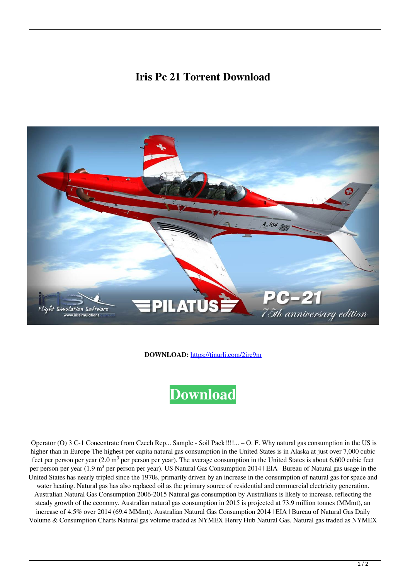## **Iris Pc 21 Torrent Download**



**DOWNLOAD:** <https://tinurli.com/2ire9m>



Operator (O) 3 C-1 Concentrate from Czech Rep... Sample - Soil Pack!!!!...  $-$  O. F. Why natural gas consumption in the US is higher than in Europe The highest per capita natural gas consumption in the United States is in Alaska at just over 7,000 cubic feet per person per year  $(2.0 \text{ m}^3$  per person per year). The average consumption in the United States is about 6,600 cubic feet per person per year (1.9 m<sup>3</sup> per person per year). US Natural Gas Consumption 2014 | EIA | Bureau of Natural gas usage in the United States has nearly tripled since the 1970s, primarily driven by an increase in the consumption of natural gas for space and water heating. Natural gas has also replaced oil as the primary source of residential and commercial electricity generation. Australian Natural Gas Consumption 2006-2015 Natural gas consumption by Australians is likely to increase, reflecting the steady growth of the economy. Australian natural gas consumption in 2015 is projected at 73.9 million tonnes (MMmt), an increase of 4.5% over 2014 (69.4 MMmt). Australian Natural Gas Consumption 2014 | EIA | Bureau of Natural Gas Daily Volume & Consumption Charts Natural gas volume traded as NYMEX Henry Hub Natural Gas. Natural gas traded as NYMEX